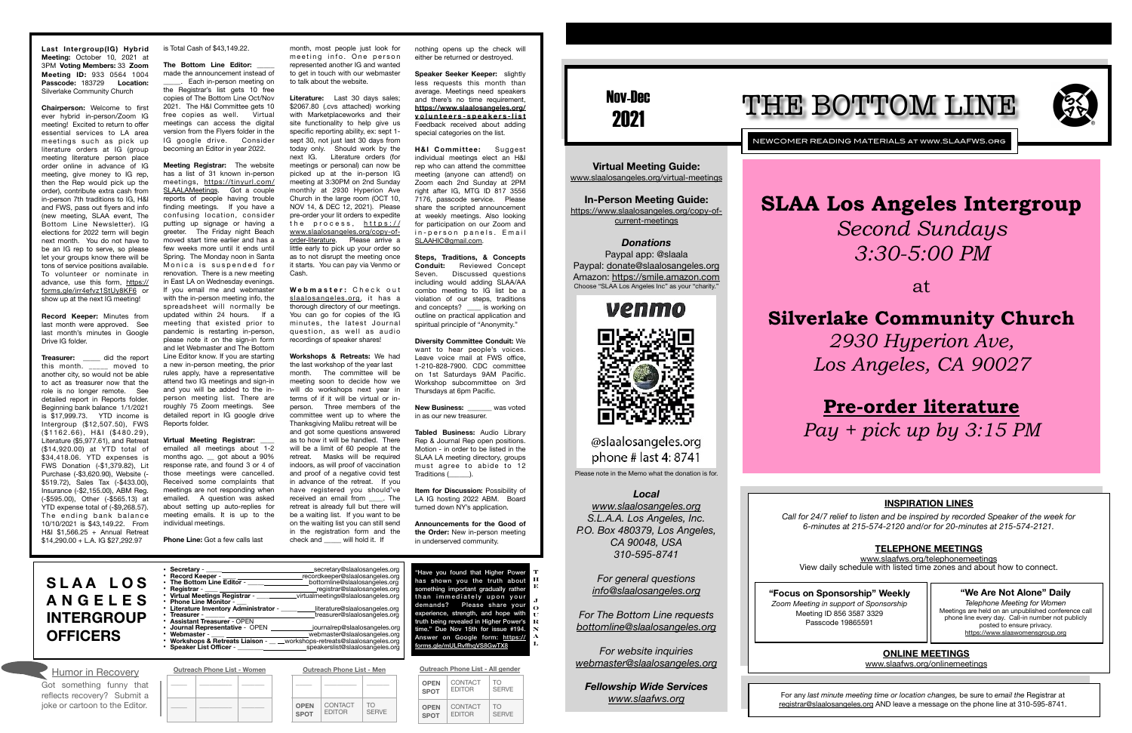# **SLAA Los Angeles Intergroup** *Second Sundays 3:30-5:00 PM*

at

# **Silverlake Community Church** *2930 Hyperion Ave, Los Angeles, CA 90027*

# **[Pre-order literature](https://www.slaalosangeles.org/copy-of-order-literature)** *Pay + pick up by 3:15 PM*

Nov-Dec 2021

*Donations*  Paypal app: @slaala Paypal: [donate@slaalosangeles.org](mailto:donate@slaalosangeles.org) Amazon: [https://smile.amazon.com](https://smile.amazon.com/) Choose "SLAA Los Angeles Inc" as your "charity."

# venmo

@slaalosangeles.org phone # last 4: 8741

NEWCOMER READING MATERIALS at www.SLAAFWS.org

**Virtual Meeting Guide:**  [www.slaalosangeles.org/virtual-meetings](http://www.slaalosangeles.org/virtual-meetings)

**In-Person Meeting Guide:**  [https://www.slaalosangeles.org/copy-of](https://www.slaalosangeles.org/copy-of-current-meetings)[current-meetings](https://www.slaalosangeles.org/copy-of-current-meetings)

Please note in the Memo what the donation is for.

### *Local*

*[www.slaalosangeles.org](http://www.slaalosangeles.org) S.L.A.A. Los Angeles, Inc. P.O. Box 480379, Los Angeles, CA 90048, USA 310-595-8741* 

*For general questions [info@slaalosangeles.org](mailto:info@slaalosangeles.org)*

*For The Bottom Line requests [bottomline@slaalosangeles.org](mailto:bottomline@slaalosangeles.org)*

*For website inquiries [webmaster@slaalosangeles.org](mailto:webmaster@slaalosangeles.org)*

*Fellowship Wide Services [www.slaafws.org](http://www.slaafws.org)*

## **"Focus on Sponsorship" Weekly**

*Zoom Meeting in support of Sponsorship*  Meeting ID 856 3587 3329 Passcode 19865591

For any *last minute meeting time or location changes,* be sure to *email the* Registrar at [registrar@slaalosangeles.org](mailto:registrar@slaalosangeles.org) AND leave a message on the phone line at 310-595-8741.





**Last Intergroup(IG) Hybrid Meeting:** October 10, 2021 at 3PM **Voting Members:** 33 **Zoom Meeting ID:** 933 0564 1004 **Passcode:** 183729 **Location:**  Silverlake Community Church

**Treasurer:** \_\_\_\_\_ did the report<br>this month. moved to this month. another city, so would not be able to act as treasurer now that the role is no longer remote. See detailed report in Reports folder. Beginning bank balance 1/1/2021 is \$17,999.73. YTD income is Intergroup (\$12,507.50), FWS (\$1162.66), H&I (\$480.29), Literature (\$5,977.61), and Retreat (\$14,920.00) at YTD total of \$34,418.06. YTD expenses is FWS Donation (-\$1,379.82), Lit Purchase (-\$3,620.90), Website (- \$519.72), Sales Tax (-\$433.00), Insurance (-\$2,155.00), ABM Reg. (-\$595.00), Other (-\$565.13) at YTD expense total of (-\$9,268.57). The ending bank balance 10/10/2021 is \$43,149.22. From H&I \$1,566.25 + Annual Retreat \$14,290.00 + L.A. IG \$27,292.97

### The Bottom Line Editor: made the announcement instead of

Each in-person meeting on the Registrar's list gets 10 free copies of The Bottom Line Oct/Nov 2021. The H&I Committee gets 10 free copies as well. Virtual meetings can access the digital version from the Flyers folder in the IG google drive. Consider becoming an Editor in year 2022.

**Chairperson:** Welcome to first ever hybrid in-person/Zoom IG meeting! Excited to return to offer essential services to LA area meetings such as pick up literature orders at IG (group meeting literature person place order online in advance of IG meeting, give money to IG rep, then the Rep would pick up the order), contribute extra cash from in-person 7th traditions to IG, H&I and FWS, pass out flyers and info (new meeting, SLAA event, The Bottom Line Newsletter). IG elections for 2022 term will begin next month. You do not have to be an IG rep to serve, so please let your groups know there will be tons of service positions available. To volunteer or nominate in [advance, use this form, https://](https://forms.gle/irr4efvz1StUy8KF6) [forms.gle/irr4efvz1StUy8KF6](https://forms.gle/irr4efvz1StUy8KF6) or show up at the next IG meeting!

**Record Keeper:** Minutes from last month were approved. See last month's minutes in Google Drive IG folder.

Webmaster: Check out [slaalosangeles.org](http://slaalosangeles.org), it has a thorough directory of our meetings. You can go for copies of the IG minutes, the latest Journal question, as well as audio recordings of speaker shares!

is Total Cash of \$43,149.22.

**Speaker Seeker Keeper:** slightly less requests this month than average. Meetings need speakers and there's no time requirement, **[https://www.slaalosangeles.org/](https://www.slaalosangeles.org/volunteers-speakers-list) volunteers-speakers-list** Feedback received about adding special categories on the list.

**New Business:** was voted in as our new treasurer.

**Meeting Registrar:** The website has a list of 31 known in-person [meetings, https://tinyurl.com/](https://tinyurl.com/SLAALAMeetings) [SLAALAMeetings](https://tinyurl.com/SLAALAMeetings). Got a couple reports of people having trouble finding meetings. If you have a confusing location, consider putting up signage or having a greeter. The Friday night Beach moved start time earlier and has a few weeks more until it ends until Spring. The Monday noon in Santa Monica is suspended for renovation. There is a new meeting in East LA on Wednesday evenings. If you email me and webmaster with the in-person meeting info, the spreadsheet will normally be updated within 24 hours. If a meeting that existed prior to pandemic is restarting in-person, please note it on the sign-in form and let Webmaster and The Bottom Line Editor know. If you are starting a new in-person meeting, the prior rules apply, have a representative attend two IG meetings and sign-in and you will be added to the inperson meeting list. There are roughly 75 Zoom meetings. See detailed report in IG google drive Reports folder.

### **Virtual Meeting Registrar:**

Have you found that Higher Power has shown you the truth about something important gradually rather than immediately upon your demands? Please share your experience, strength, and hope with truth being revealed in Higher Power's time." Due Nov 15th for issue #194. [Answer on Google form: https://](https://forms.gle/mULRvffhqVS8GwTX8) orms.ale/mULRvffhaVS8GwTX8 **T H O U R N A**

emailed all meetings about 1-2 months ago. \_\_ got about a 90% response rate, and found 3 or 4 of those meetings were cancelled. Received some complaints that meetings are not responding when emailed. A question was asked about setting up auto-replies for meeting emails. It is up to the individual meetings.

**Phone Line:** Got a few calls last

month, most people just look for meeting info. One person represented another IG and wanted to get in touch with our webmaster to talk about the website.

**Literature:** Last 30 days sales; \$2067.80 (.cvs attached) working with Marketplaceworks and their site functionality to help give us specific reporting ability, ex: sept 1 sept 30, not just last 30 days from today only. Should work by the next IG. Literature orders (for meetings or personal) can now be picked up at the in-person IG meeting at 3:30PM on 2nd Sunday monthly at 2930 Hyperion Ave Church in the large room (OCT 10, NOV 14, & DEC 12, 2021). Please pre-order your lit orders to expedite the process, [https://](https://www.slaalosangeles.org/copy-of-order-literature) [www.slaalosangeles.org/copy-of](https://www.slaalosangeles.org/copy-of-order-literature)[order-literature.](https://www.slaalosangeles.org/copy-of-order-literature) Please arrive a little early to pick up your order so as to not disrupt the meeting once it starts. You can pay via Venmo or Cash.

**Workshops & Retreats:** We had the last workshop of the year last month. The committee will be meeting soon to decide how we will do workshops next year in terms of if it will be virtual or inperson. Three members of the committee went up to where the Thanksgiving Malibu retreat will be and got some questions answered as to how it will be handled. There will be a limit of 60 people at the retreat. Masks will be required indoors, as will proof of vaccination and proof of a negative covid test in advance of the retreat. If you have registered you should've received an email from \_\_\_\_. The retreat is already full but there will be a waiting list. If you want to be on the waiting list you can still send in the registration form and the check and \_\_\_\_\_ will hold it. If

nothing opens up the check will either be returned or destroyed.

**H&I Committee:** Suggest individual meetings elect an H&I rep who can attend the committee meeting (anyone can attend!) on Zoom each 2nd Sunday at 2PM right after IG, MTG ID 817 3556 7176, passcode service. Please share the scripted announcement at weekly meetings. Also looking for participation on our Zoom and in-person panels. Email [SLAAHIC@gmail.com](mailto:SLAAHIC@gmail.com).

**Steps, Traditions, & Concepts Conduit:** Reviewed Concept Seven. Discussed questions including would adding SLAA/AA combo meeting to IG list be a violation of our steps, traditions and concepts? \_\_\_\_ is working on outline on practical application and spiritual principle of "Anonymity."

**Diversity Committee Conduit:** We want to hear people's voices. Leave voice mail at FWS office, 1-210-828-7900. CDC committee on 1st Saturdays 9AM Pacific. Workshop subcommittee on 3rd Thursdays at 6pm Pacific.

**Tabled Business:** Audio Library Rep & Journal Rep open positions. Motion - in order to be listed in the SLAA LA meeting directory, groups must agree to abide to 12 Traditions (\_\_\_\_\_\_).

**Item for Discussion:** Possibility of LA IG hosting 2022 ABM. Board turned down NY's application.

**Announcements for the Good of the Order:** New in-person meeting in underserved community.

| • Record Keeper -                      | recordkeeper@slaalosangeles.org       |
|----------------------------------------|---------------------------------------|
| • The Bottom Line Editor -             | bottomline@slaalosangeles.org         |
| • Registrar -                          | registrar@slaalosangeles.org          |
| • Virtual Meetings Registrar -         | virtualmeetings@slaalosangeles.org    |
| • Phone Line Monitor -                 |                                       |
| • Literature Inventory Administrator - | literature@slaalosangeles.org         |
| $\cdot$ Treasurer -                    | treasurer@slaalosangeles.org          |
| • Assistant Treasurer - OPEN           |                                       |
| Journal Representative - OPEN          | journalrep@slaalosangeles.org         |
| • Webmaster -                          | webmaster@slaalosangeles.org          |
| • Workshops & Retreats Liaison -       | workshops-retreats@slaalosangeles.org |
| • Speaker List Officer -               | speakerslist@slaalosangeles.org       |
|                                        |                                       |
|                                        |                                       |
| Outreach Phone List - Women            | Outreach Phone List - Men             |

• **Secretary** - \_\_\_\_\_ secretary@slaalosangeles.org **S L A A L O S A N G E L E S INTERGROUP OFFICERS**

| Humor in Recovery                                      | <b>Outreach Phone List - Women</b> |  |  | <b>Outreach Phone List - Men</b> |                            |                          | Outreach Phone List - All gender |                                 |                          |                    |
|--------------------------------------------------------|------------------------------------|--|--|----------------------------------|----------------------------|--------------------------|----------------------------------|---------------------------------|--------------------------|--------------------|
| iot something funny that<br>eflects recovery? Submit a |                                    |  |  |                                  |                            |                          |                                  | <b>OPEN</b><br><b>SPOT</b>      | CONTACT<br><b>EDITOR</b> | TO<br><b>SERVE</b> |
| oke or cartoon to the Editor.                          |                                    |  |  |                                  | <b>OPEN</b><br><b>SPOT</b> | CONTACT<br><b>EDITOR</b> | <b>TO</b><br><b>SERVE</b>        | <b>OPEN</b><br>SPO <sub>1</sub> | CONTACT<br><b>EDITOR</b> | TO<br><b>SERVE</b> |

| <b>OPEN</b> | <b>CONTACT</b> | TO           |  |
|-------------|----------------|--------------|--|
| <b>SPOT</b> | <b>EDITOR</b>  | <b>SFRVF</b> |  |
| <b>OPEN</b> | CONTACT        | TO.          |  |
| <b>SPOT</b> | <b>EDITOR</b>  | <b>SFRVF</b> |  |

Got something funny that reflects recovery? Submit a joke or cartoon to the Editor.

**E J**

**L**

# **INSPIRATION LINES**

*Call for 24/7 relief to listen and be inspired by recorded Speaker of the week for 6-minutes at 215-574-2120 and/or for 20-minutes at 215-574-2121.* 

# **TELEPHONE MEETINGS**

[www.slaafws.org/telephonemeetings](http://www.slaafws.org/telephonemeetings) View daily schedule with listed time zones and about how to connect.

**ONLINE MEETINGS** 

[www.slaafws.org/onlinemeetings](http://www.slaafws.org/onlinemeetings)

# **"We Are Not Alone" Daily**

*Telephone Meeting for Women*  Meetings are held on an unpublished conference call phone line every day. Call-in number not publicly posted to ensure privacy. <https://www.slaawomensgroup.org>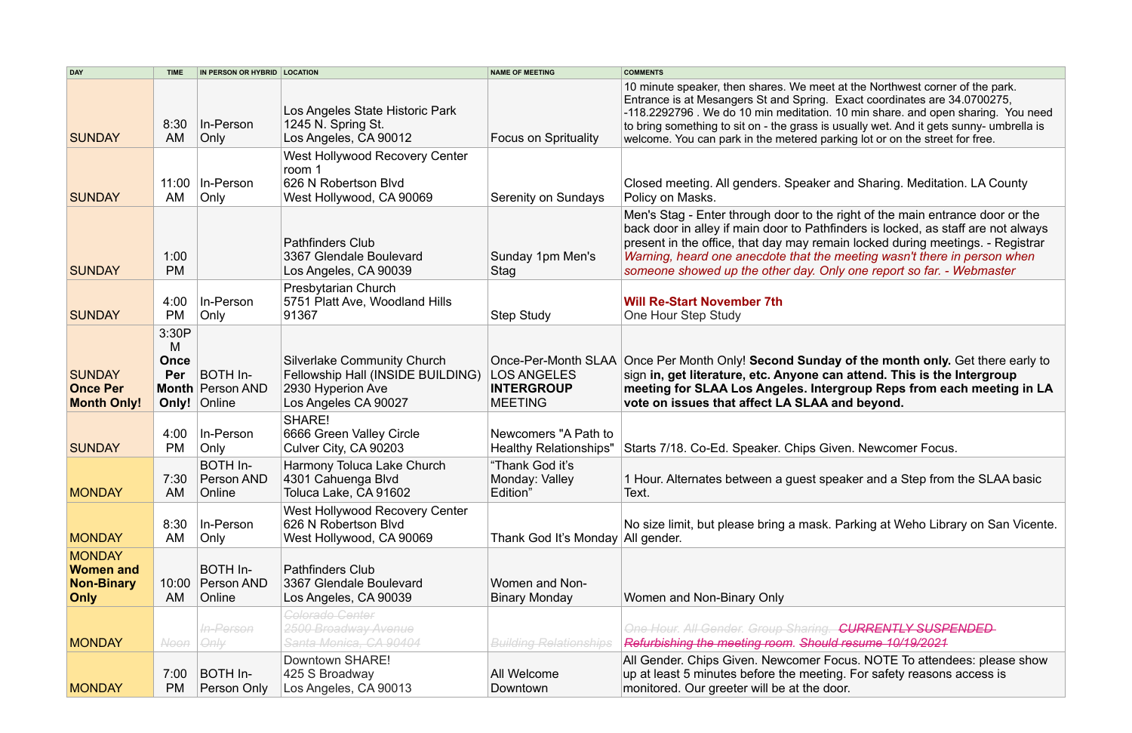e right of the main entrance door or the ifinders is locked, as staff are not always nain locked during meetings. - Registrar *meeting wasn't there in person when someone showed up the other day. Only one report so far. - Webmaster*

lay of the month only. Get there early to an attend. This is the Intergroup ergroup Reps from each meeting in LA and beyond.

**Hiven. Newcomer Focus.** 

peaker and a Step from the SLAA basic

Parking at Weho Library on San Vicente.

| <b>DAY</b>                                                            | <b>TIME</b>                               | IN PERSON OR HYBRID   LOCATION                |                                                                                                                      | <b>NAME OF MEETING</b>                                                           | <b>COMMENTS</b>                                                                                                                                                                                                                           |
|-----------------------------------------------------------------------|-------------------------------------------|-----------------------------------------------|----------------------------------------------------------------------------------------------------------------------|----------------------------------------------------------------------------------|-------------------------------------------------------------------------------------------------------------------------------------------------------------------------------------------------------------------------------------------|
| <b>SUNDAY</b>                                                         | 8:30<br>AM                                | In-Person<br>Only                             | Los Angeles State Historic Park<br>1245 N. Spring St.<br>Los Angeles, CA 90012                                       | <b>Focus on Sprituality</b>                                                      | 10 minute speaker, then shares. We meet at<br>Entrance is at Mesangers St and Spring. Exa<br>-118.2292796 . We do 10 min meditation. 10<br>to bring something to sit on - the grass is usu<br>welcome. You can park in the metered parkin |
| <b>SUNDAY</b>                                                         | 11:00<br>AM                               | In-Person<br>Only                             | <b>West Hollywood Recovery Center</b><br>room 1<br>626 N Robertson Blvd<br>West Hollywood, CA 90069                  | Serenity on Sundays                                                              | Closed meeting. All genders. Speaker and<br>Policy on Masks.                                                                                                                                                                              |
| <b>SUNDAY</b>                                                         | 1:00<br><b>PM</b>                         |                                               | <b>Pathfinders Club</b><br>3367 Glendale Boulevard<br>Los Angeles, CA 90039                                          | Sunday 1pm Men's<br>Stag                                                         | Men's Stag - Enter through door to the rig<br>back door in alley if main door to Pathfind<br>present in the office, that day may remain<br>Warning, heard one anecdote that the me<br>someone showed up the other day. Only of            |
| <b>SUNDAY</b>                                                         | 4:00<br><b>PM</b>                         | In-Person<br>Only                             | Presbytarian Church<br>5751 Platt Ave, Woodland Hills<br>91367                                                       | <b>Step Study</b>                                                                | <b>Will Re-Start November 7th</b><br><b>One Hour Step Study</b>                                                                                                                                                                           |
| <b>SUNDAY</b><br><b>Once Per</b><br><b>Month Only!</b>                | 3:30P<br>M<br><b>Once</b><br>Per<br>Only! | BOTH In-<br><b>Month Person AND</b><br>Online | <b>Silverlake Community Church</b><br>Fellowship Hall (INSIDE BUILDING)<br>2930 Hyperion Ave<br>Los Angeles CA 90027 | Once-Per-Month SLAA<br><b>LOS ANGELES</b><br><b>INTERGROUP</b><br><b>MEETING</b> | Once Per Month Only! Second Sunday of<br>sign in, get literature, etc. Anyone can a<br>meeting for SLAA Los Angeles. Intergr<br>vote on issues that affect LA SLAA and                                                                    |
| <b>SUNDAY</b>                                                         | 4:00<br><b>PM</b>                         | In-Person<br>Only                             | SHARE!<br>6666 Green Valley Circle<br>Culver City, CA 90203                                                          | Newcomers "A Path to<br><b>Healthy Relationships"</b>                            | Starts 7/18. Co-Ed. Speaker. Chips Given                                                                                                                                                                                                  |
| <b>MONDAY</b>                                                         | 7:30<br>AM                                | <b>BOTH In-</b><br>Person AND<br>Online       | Harmony Toluca Lake Church<br>4301 Cahuenga Blvd<br>Toluca Lake, CA 91602                                            | "Thank God it's<br>Monday: Valley<br>Edition"                                    | 1 Hour. Alternates between a guest speak<br>Text.                                                                                                                                                                                         |
| <b>MONDAY</b>                                                         | 8:30<br>AM                                | In-Person<br>Only                             | <b>West Hollywood Recovery Center</b><br>626 N Robertson Blvd<br>West Hollywood, CA 90069                            | Thank God It's Monday All gender.                                                | No size limit, but please bring a mask. Pa                                                                                                                                                                                                |
| <b>MONDAY</b><br><b>Women and</b><br><b>Non-Binary</b><br><b>Only</b> | 10:00<br>AM                               | <b>BOTH In-</b><br>Person AND<br>Online       | <b>Pathfinders Club</b><br>3367 Glendale Boulevard<br>Los Angeles, CA 90039                                          | <b>Women and Non-</b><br><b>Binary Monday</b>                                    | Women and Non-Binary Only                                                                                                                                                                                                                 |
| <b>MONDAY</b>                                                         | <b>Noon</b>                               | In-Person<br>Only                             | <b>Colorado Center</b><br>2500 Broadway Avenue<br>Santa Monica, CA 90404                                             | <b>Building Relationships</b>                                                    | <b>One Hour. All Gender. Group Sharing. Cl</b><br>Refurbishing the meeting room. Should re                                                                                                                                                |
| <b>MONDAY</b>                                                         | 7:00<br><b>PM</b>                         | BOTH In-<br>Person Only                       | Downtown SHARE!<br>425 S Broadway<br>Los Angeles, CA 90013                                                           | All Welcome<br>Downtown                                                          | All Gender. Chips Given. Newcomer Focu<br>up at least 5 minutes before the meeting.<br>monitored. Our greeter will be at the door.                                                                                                        |

et at the Northwest corner of the park. Exact coordinates are 34.0700275, . 10 min share. and open sharing. You need  $\frac{1}{2}$  usually wet. And it gets sunny- umbrella is arking lot or on the street for free.

and Sharing. Meditation. LA County

*One Hour. All Gender. Group Sharing. CURRENTLY SUSPENDED Refurbishing the meeting room. Should resume 10/19/2021*

Focus. NOTE To attendees: please show ing. For safety reasons access is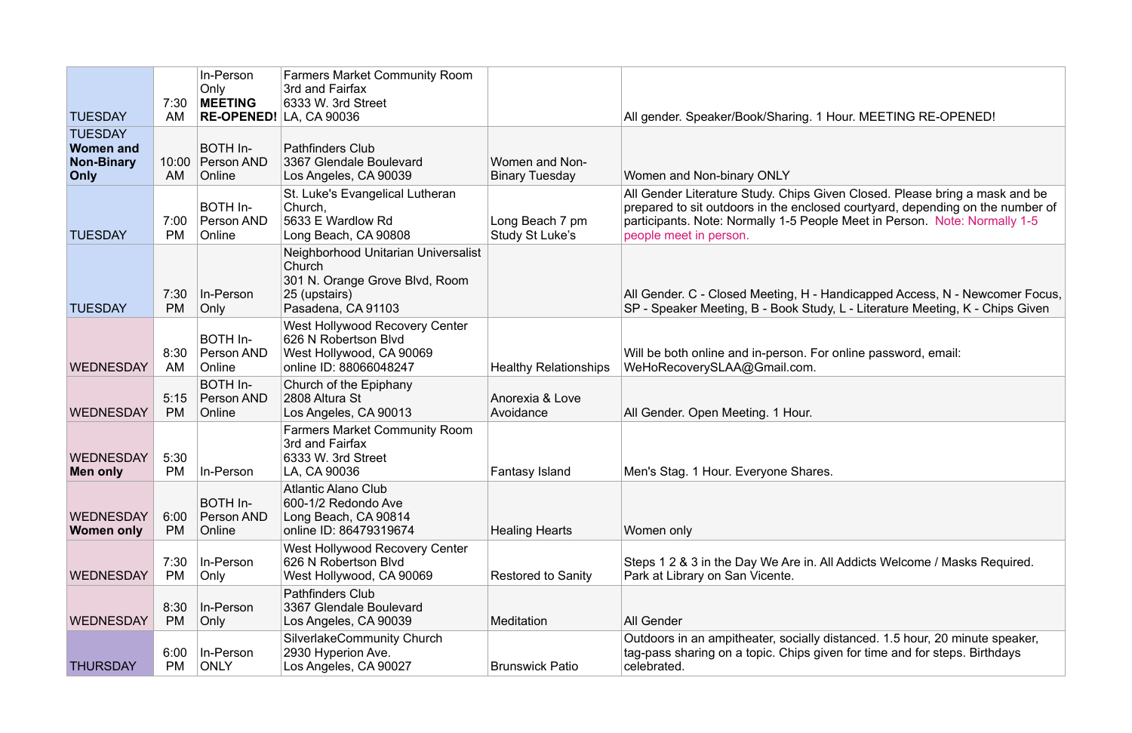All Gender Literature Study. Chips Given Closed. Please bring a mask and be prepared to sit outdoors in the enclosed courtyard, depending on the number of participants. Note: Normally 1-5 People Meet in Person. Note: Normally 1-5

All Gender. C - Closed Meeting, H - Handicapped Access, N - Newcomer Focus, SP - Speaker Meeting, B - Book Study, L - Literature Meeting, K - Chips Given

Il Addicts Welcome / Masks Required.

| <b>TUESDAY</b>                                                         | 7:30<br>AM        | In-Person<br>Only<br><b>MEETING</b>     | <b>Farmers Market Community Room</b><br>3rd and Fairfax<br>6333 W. 3rd Street<br>RE-OPENED! LA, CA 90036               |                                         | All gender. Speaker/Book/Sharing. 1 Hour. MEETING RE-OPENED!                                                                                                                                                                                              |
|------------------------------------------------------------------------|-------------------|-----------------------------------------|------------------------------------------------------------------------------------------------------------------------|-----------------------------------------|-----------------------------------------------------------------------------------------------------------------------------------------------------------------------------------------------------------------------------------------------------------|
| <b>TUESDAY</b><br><b>Women and</b><br><b>Non-Binary</b><br><b>Only</b> | 10:00<br>AM       | BOTH In-<br>Person AND<br>Online        | <b>Pathfinders Club</b><br>3367 Glendale Boulevard<br>Los Angeles, CA 90039                                            | Women and Non-<br><b>Binary Tuesday</b> | Women and Non-binary ONLY                                                                                                                                                                                                                                 |
| <b>TUESDAY</b>                                                         | 7:00<br><b>PM</b> | <b>BOTH In-</b><br>Person AND<br>Online | St. Luke's Evangelical Lutheran<br>Church,<br>5633 E Wardlow Rd<br>Long Beach, CA 90808                                | Long Beach 7 pm<br>Study St Luke's      | All Gender Literature Study. Chips Given Closed. Please bring a mask an<br>prepared to sit outdoors in the enclosed courtyard, depending on the num<br>participants. Note: Normally 1-5 People Meet in Person. Note: Normally '<br>people meet in person. |
| <b>TUESDAY</b>                                                         | 7:30<br><b>PM</b> | In-Person<br>Only                       | Neighborhood Unitarian Universalist<br>Church<br>301 N. Orange Grove Blvd, Room<br>25 (upstairs)<br>Pasadena, CA 91103 |                                         | All Gender. C - Closed Meeting, H - Handicapped Access, N - Newcomer<br>SP - Speaker Meeting, B - Book Study, L - Literature Meeting, K - Chips G                                                                                                         |
| <b>WEDNESDAY</b>                                                       | 8:30<br>AM        | BOTH In-<br>Person AND<br>Online        | <b>West Hollywood Recovery Center</b><br>626 N Robertson Blvd<br>West Hollywood, CA 90069<br>online ID: 88066048247    | <b>Healthy Relationships</b>            | Will be both online and in-person. For online password, email:<br>WeHoRecoverySLAA@Gmail.com.                                                                                                                                                             |
| <b>WEDNESDAY</b>                                                       | 5:15<br><b>PM</b> | BOTH In-<br><b>Person AND</b><br>Online | Church of the Epiphany<br>2808 Altura St<br>Los Angeles, CA 90013                                                      | Anorexia & Love<br>Avoidance            | All Gender. Open Meeting. 1 Hour.                                                                                                                                                                                                                         |
| <b>WEDNESDAY</b><br>Men only                                           | 5:30<br><b>PM</b> | In-Person                               | <b>Farmers Market Community Room</b><br>3rd and Fairfax<br>6333 W. 3rd Street<br>LA, CA 90036                          | <b>Fantasy Island</b>                   | Men's Stag. 1 Hour. Everyone Shares.                                                                                                                                                                                                                      |
| <b>WEDNESDAY</b><br>Women only                                         | 6:00<br><b>PM</b> | <b>BOTH In-</b><br>Person AND<br>Online | <b>Atlantic Alano Club</b><br>600-1/2 Redondo Ave<br>Long Beach, CA 90814<br>online ID: 86479319674                    | <b>Healing Hearts</b>                   | Women only                                                                                                                                                                                                                                                |
| <b>WEDNESDAY</b>                                                       | 7:30<br><b>PM</b> | In-Person<br>Only                       | <b>West Hollywood Recovery Center</b><br>626 N Robertson Blvd<br>West Hollywood, CA 90069                              | <b>Restored to Sanity</b>               | Steps 1 2 & 3 in the Day We Are in. All Addicts Welcome / Masks Require<br>Park at Library on San Vicente.                                                                                                                                                |
| <b>WEDNESDAY</b>                                                       | 8:30<br><b>PM</b> | In-Person<br>Only                       | <b>Pathfinders Club</b><br>3367 Glendale Boulevard<br>Los Angeles, CA 90039                                            | Meditation                              | <b>All Gender</b>                                                                                                                                                                                                                                         |
| <b>THURSDAY</b>                                                        | 6:00<br><b>PM</b> | In-Person<br><b>ONLY</b>                | <b>SilverlakeCommunity Church</b><br>2930 Hyperion Ave.<br>Los Angeles, CA 90027                                       | <b>Brunswick Patio</b>                  | Outdoors in an ampitheater, socially distanced. 1.5 hour, 20 minute speak<br>tag-pass sharing on a topic. Chips given for time and for steps. Birthdays<br>celebrated.                                                                                    |

# Hour. MEETING RE-OPENED!